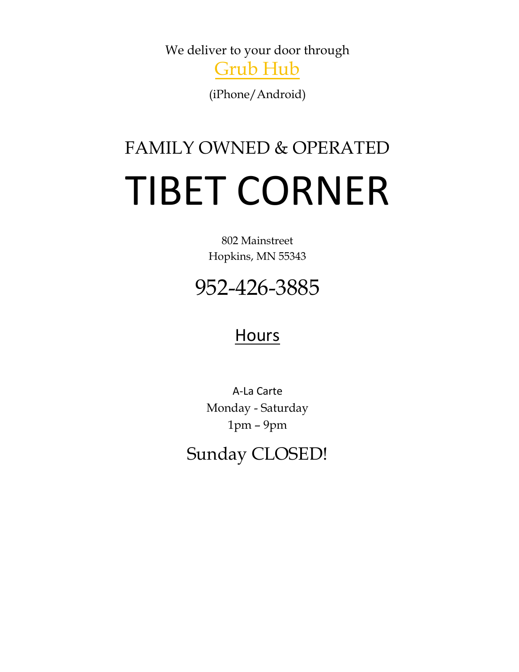We deliver to your door through

Grub Hub

(iPhone/Android)

# FAMILY OWNED & OPERATED TIBET CORNER

802 Mainstreet Hopkins, MN 55343

# 952-426-3885

#### **Hours**

A-La Carte Monday - Saturday 1pm – 9pm

Sunday CLOSED!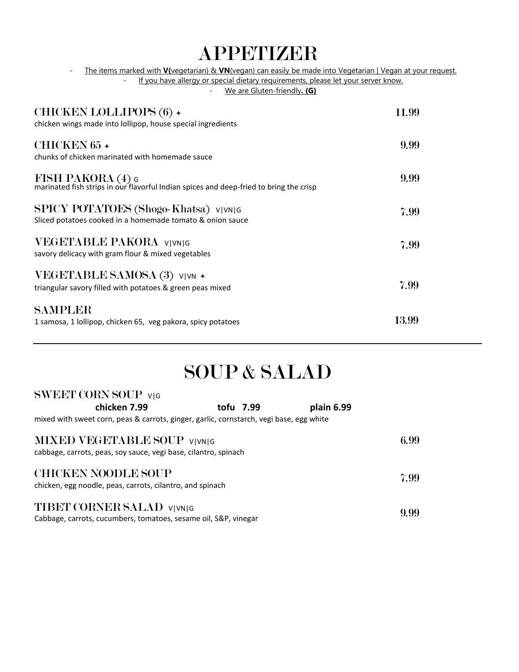### APPETIZER

- The items marked with **V(**vegetarian) & **VN**(vegan) can easily be made into Vegetarian | Vegan at your request.

- If you have allergy or special dietary requirements, please let your server know.

- We are Gluten-friendly**. (G)**

| <b>CHICKEN LOLLIPOPS (6) +</b><br>chicken wings made into lollipop, house special ingredients                                   | 11.99 |
|---------------------------------------------------------------------------------------------------------------------------------|-------|
| CHICKEN 65 +<br>chunks of chicken marinated with homemade sauce                                                                 | 9.99  |
| $\overline{\text{FISH PAKORA}}$ (4) G<br>marinated fish strips in our flavorful Indian spices and deep-fried to bring the crisp | 9.99  |
| SPICY POTATOES (Shogo-Khatsa) <code>v vn g</code><br>Sliced potatoes cooked in a homemade tomato & onion sauce                  | 7.99  |
| <b>VEGETABLE PAKORA</b> VIVNIG<br>savory delicacy with gram flour & mixed vegetables                                            | 7.99  |
| VEGETABLE SAMOSA (3) V VN +<br>triangular savory filled with potatoes & green peas mixed                                        | 7.99  |
| SAMPLER<br>1 samosa, 1 lollipop, chicken 65, veg pakora, spicy potatoes                                                         | 13.99 |

## SOUP & SALAD

| SWEET CORN SOUP VIG                                                                     |           |            |      |
|-----------------------------------------------------------------------------------------|-----------|------------|------|
| chicken 7.99                                                                            | tofu 7.99 | plain 6.99 |      |
| mixed with sweet corn, peas & carrots, ginger, garlic, cornstarch, vegi base, egg white |           |            |      |
| <b>MIXED VEGETABLE SOUP VIVNIG</b>                                                      |           |            | 6.99 |
| cabbage, carrots, peas, soy sauce, vegi base, cilantro, spinach                         |           |            |      |
| <b>CHICKEN NOODLE SOUP</b>                                                              |           |            | 7.99 |
| chicken, egg noodle, peas, carrots, cilantro, and spinach                               |           |            |      |
| <b>TIBET CORNER SALAD VIVNIG</b>                                                        |           |            |      |
| Cabbage, carrots, cucumbers, tomatoes, sesame oil, S&P, vinegar                         |           |            | 9.99 |

 $\alpha$ weet  $\alpha$ oor $\alpha$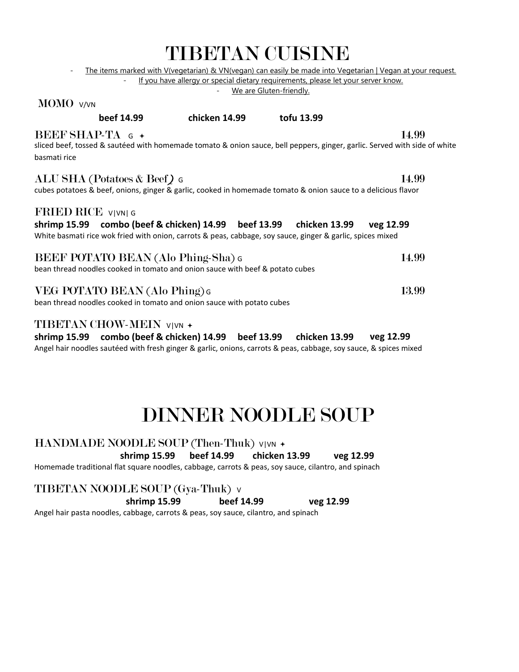|                                                                                                                                                                                                 | TIDIJIM VUININD                                                                                             |                         |           |
|-------------------------------------------------------------------------------------------------------------------------------------------------------------------------------------------------|-------------------------------------------------------------------------------------------------------------|-------------------------|-----------|
|                                                                                                                                                                                                 | The items marked with V(vegetarian) & VN(vegan) can easily be made into Vegetarian   Vegan at your request. |                         |           |
|                                                                                                                                                                                                 | If you have allergy or special dietary requirements, please let your server know.                           | We are Gluten-friendly. |           |
| MOMO V/VN                                                                                                                                                                                       |                                                                                                             |                         |           |
| beef 14.99                                                                                                                                                                                      | chicken 14.99                                                                                               | tofu 13.99              |           |
| BEEF SHAP-TA $G +$<br>sliced beef, tossed & sautéed with homemade tomato & onion sauce, bell peppers, ginger, garlic. Served with side of white<br>basmati rice                                 |                                                                                                             |                         | 14.99     |
| ALU SHA (Potatoes & Beef) G<br>cubes potatoes & beef, onions, ginger & garlic, cooked in homemade tomato & onion sauce to a delicious flavor                                                    |                                                                                                             |                         | 14.99     |
| FRIED RICE VIVNIG<br>shrimp 15.99     combo (beef & chicken) 14.99     beef 13.99<br>White basmati rice wok fried with onion, carrots & peas, cabbage, soy sauce, ginger & garlic, spices mixed |                                                                                                             | chicken 13.99           | veg 12.99 |
| <b>BEEF POTATO BEAN (Alo Phing-Sha) G</b><br>bean thread noodles cooked in tomato and onion sauce with beef & potato cubes                                                                      |                                                                                                             |                         | 14.99     |
| VEG POTATO BEAN (Alo Phing) G<br>bean thread noodles cooked in tomato and onion sauce with potato cubes                                                                                         |                                                                                                             |                         | 13.99     |
| TIBETAN CHOW-MEIN V VN +<br>shrimp 15.99     combo (beef & chicken) 14.99                                                                                                                       | beef 13.99                                                                                                  | chicken 13.99           | veg 12.99 |

TIBETAN CUISINE

Angel hair noodles sautéed with fresh ginger & garlic, onions, carrots & peas, cabbage, soy sauce, & spices mixed

# DINNER NOODLE SOUP

HANDMADE NOODLE SOUP (Then-Thuk) V|VN + **shrimp 15.99 beef 14.99 chicken 13.99 veg 12.99** 

Homemade traditional flat square noodles, cabbage, carrots & peas, soy sauce, cilantro, and spinach

TIBETAN NOODLE SOUP (Gya-Thuk) <sup>V</sup>

**shrimp 15.99 beef 14.99 veg 12.99** 

Angel hair pasta noodles, cabbage, carrots & peas, soy sauce, cilantro, and spinach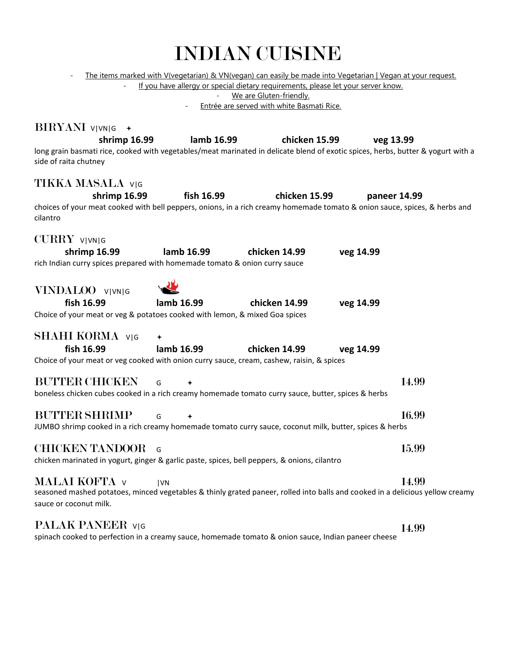- The items marked with V(vegetarian) & VN(vegan) can easily be made into Vegetarian | Vegan at your request.

- If you have allergy or special dietary requirements, please let your server know.

- We are Gluten-friendly.

- Entrée are served with white Basmati Rice.

| BIRYANI V VN G +                                                                                                                                          |            |                             |           |              |
|-----------------------------------------------------------------------------------------------------------------------------------------------------------|------------|-----------------------------|-----------|--------------|
| shrimp 16.99                                                                                                                                              |            | lamb 16.99<br>chicken 15.99 | veg 13.99 |              |
| long grain basmati rice, cooked with vegetables/meat marinated in delicate blend of exotic spices, herbs, butter & yogurt with a<br>side of raita chutney |            |                             |           |              |
| TIKKA MASALA v G                                                                                                                                          |            |                             |           |              |
| shrimp 16.99                                                                                                                                              | fish 16.99 | chicken 15.99               |           | paneer 14.99 |
| choices of your meat cooked with bell peppers, onions, in a rich creamy homemade tomato & onion sauce, spices, & herbs and<br>cilantro                    |            |                             |           |              |
| CURRY VIVNIG                                                                                                                                              |            |                             |           |              |
| shrimp 16.99<br>rich Indian curry spices prepared with homemade tomato & onion curry sauce                                                                | lamb 16.99 | chicken 14.99               | veg 14.99 |              |
| VINDALOO VIVNIG                                                                                                                                           |            |                             |           |              |
| fish 16.99                                                                                                                                                | lamb 16.99 | chicken 14.99               | veg 14.99 |              |
| Choice of your meat or veg & potatoes cooked with lemon, & mixed Goa spices                                                                               |            |                             |           |              |
| <b>SHAHI KORMA</b> VIG                                                                                                                                    |            |                             |           |              |
| fish 16.99                                                                                                                                                | lamb 16.99 | chicken 14.99               | veg 14.99 |              |
| Choice of your meat or veg cooked with onion curry sauce, cream, cashew, raisin, & spices                                                                 |            |                             |           |              |
| <b>BUTTER CHICKEN</b>                                                                                                                                     | G          |                             |           | 14.99        |
| boneless chicken cubes cooked in a rich creamy homemade tomato curry sauce, butter, spices & herbs                                                        |            |                             |           |              |
| <b>BUTTER SHRIMP</b>                                                                                                                                      | G          |                             |           | 16.99        |
| JUMBO shrimp cooked in a rich creamy homemade tomato curry sauce, coconut milk, butter, spices & herbs                                                    |            |                             |           |              |
| <b>CHICKEN TANDOOR</b>                                                                                                                                    | $\sqrt{G}$ |                             |           | 15.99        |
| chicken marinated in yogurt, ginger & garlic paste, spices, bell peppers, & onions, cilantro                                                              |            |                             |           |              |
| <b>MALAI KOFTA v</b>                                                                                                                                      | <b>IVN</b> |                             |           | 14.99        |
| seasoned mashed potatoes, minced vegetables & thinly grated paneer, rolled into balls and cooked in a delicious yellow creamy<br>sauce or coconut milk.   |            |                             |           |              |
| PALAK PANEER VIG                                                                                                                                          |            |                             |           | 14.99        |
| spinach cooked to perfection in a creamy sauce, homemade tomato & onion sauce, Indian paneer cheese                                                       |            |                             |           |              |
|                                                                                                                                                           |            |                             |           |              |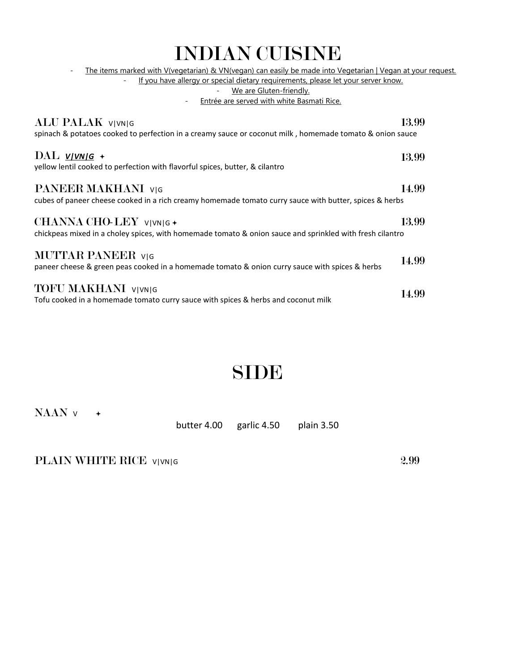| <b>INDIAN CUISINE</b>                                                                                                                                                                                                                                                                                 |       |
|-------------------------------------------------------------------------------------------------------------------------------------------------------------------------------------------------------------------------------------------------------------------------------------------------------|-------|
| The items marked with V(vegetarian) & VN(vegan) can easily be made into Vegetarian   Vegan at your request.<br>$\overline{\phantom{a}}$<br>If you have allergy or special dietary requirements, please let your server know.<br>We are Gluten-friendly.<br>Entrée are served with white Basmati Rice. |       |
| ALU PALAK VIVNIG<br>spinach & potatoes cooked to perfection in a creamy sauce or coconut milk, homemade tomato & onion sauce                                                                                                                                                                          | 13.99 |
| $\text{DAL}$ v/vn/g +<br>yellow lentil cooked to perfection with flavorful spices, butter, & cilantro                                                                                                                                                                                                 | 13.99 |
| PANEER MAKHANI V G<br>cubes of paneer cheese cooked in a rich creamy homemade tomato curry sauce with butter, spices & herbs                                                                                                                                                                          | 14.99 |
| CHANNA CHO-LEY VIVNIG +<br>chickpeas mixed in a choley spices, with homemade tomato & onion sauce and sprinkled with fresh cilantro                                                                                                                                                                   | 13.99 |
| <b>MUTTAR PANEER</b> VIG<br>paneer cheese & green peas cooked in a homemade tomato & onion curry sauce with spices & herbs                                                                                                                                                                            | 14.99 |
| <b>TOFU MAKHANI</b> VIVNIG<br>Tofu cooked in a homemade tomato curry sauce with spices & herbs and coconut milk                                                                                                                                                                                       | 14.99 |

#### SIDE

NAAN <sup>V</sup>

butter 4.00 garlic 4.50 plain 3.50

PLAIN WHITE RICE V|VN|G 2.99